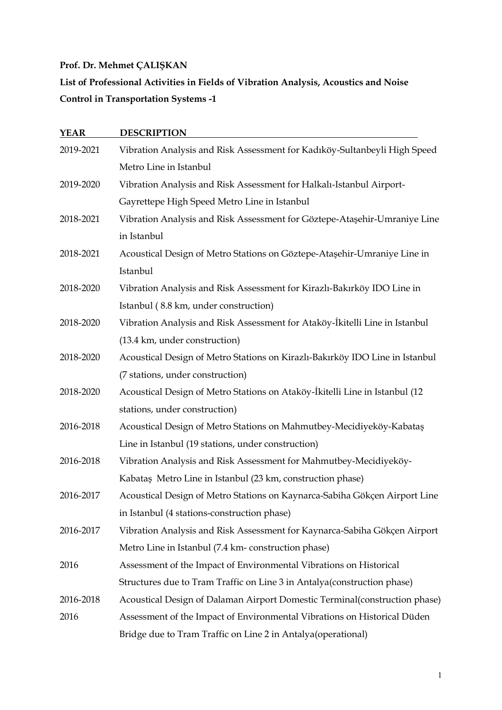$\bar{\tau}$ 

| <b>YEAR</b> | <b>DESCRIPTION</b>                                                                   |
|-------------|--------------------------------------------------------------------------------------|
| 2019-2021   | Vibration Analysis and Risk Assessment for Kadıköy-Sultanbeyli High Speed            |
|             | Metro Line in Istanbul                                                               |
| 2019-2020   | Vibration Analysis and Risk Assessment for Halkalı-Istanbul Airport-                 |
|             | Gayrettepe High Speed Metro Line in Istanbul                                         |
| 2018-2021   | Vibration Analysis and Risk Assessment for Göztepe-Ataşehir-Umraniye Line            |
|             | in Istanbul                                                                          |
| 2018-2021   | Acoustical Design of Metro Stations on Göztepe-Ataşehir-Umraniye Line in<br>Istanbul |
| 2018-2020   | Vibration Analysis and Risk Assessment for Kirazlı-Bakırköy IDO Line in              |
|             | Istanbul (8.8 km, under construction)                                                |
| 2018-2020   | Vibration Analysis and Risk Assessment for Ataköy-İkitelli Line in Istanbul          |
|             | (13.4 km, under construction)                                                        |
| 2018-2020   | Acoustical Design of Metro Stations on Kirazlı-Bakırköy IDO Line in Istanbul         |
|             | (7 stations, under construction)                                                     |
| 2018-2020   | Acoustical Design of Metro Stations on Ataköy-İkitelli Line in Istanbul (12          |
|             | stations, under construction)                                                        |
| 2016-2018   | Acoustical Design of Metro Stations on Mahmutbey-Mecidiyeköy-Kabataş                 |
|             | Line in Istanbul (19 stations, under construction)                                   |
| 2016-2018   | Vibration Analysis and Risk Assessment for Mahmutbey-Mecidiyeköy-                    |
|             | Kabataş Metro Line in Istanbul (23 km, construction phase)                           |
| 2016-2017   | Acoustical Design of Metro Stations on Kaynarca-Sabiha Gökçen Airport Line           |
|             | in Istanbul (4 stations-construction phase)                                          |
| 2016-2017   | Vibration Analysis and Risk Assessment for Kaynarca-Sabiha Gökçen Airport            |
|             | Metro Line in Istanbul (7.4 km- construction phase)                                  |
| 2016        | Assessment of the Impact of Environmental Vibrations on Historical                   |
|             | Structures due to Tram Traffic on Line 3 in Antalya (construction phase)             |
| 2016-2018   | Acoustical Design of Dalaman Airport Domestic Terminal(construction phase)           |
| 2016        | Assessment of the Impact of Environmental Vibrations on Historical Düden             |
|             | Bridge due to Tram Traffic on Line 2 in Antalya (operational)                        |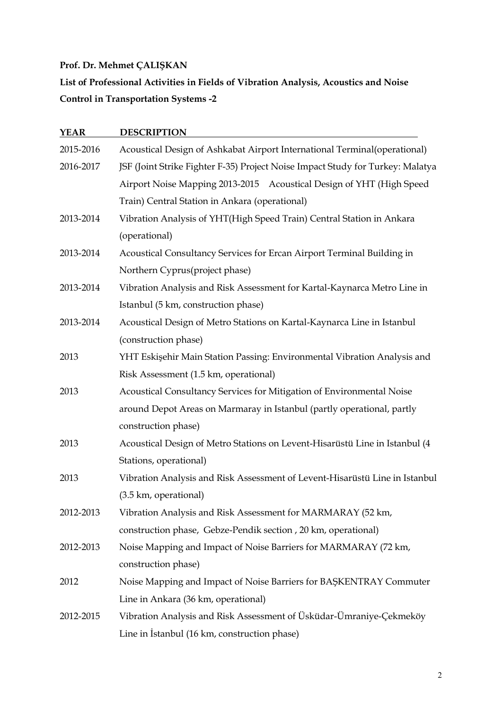$\hat{\boldsymbol{\gamma}}$ 

| YEAR      | <b>DESCRIPTION</b>                                                             |
|-----------|--------------------------------------------------------------------------------|
| 2015-2016 | Acoustical Design of Ashkabat Airport International Terminal(operational)      |
| 2016-2017 | JSF (Joint Strike Fighter F-35) Project Noise Impact Study for Turkey: Malatya |
|           | Airport Noise Mapping 2013-2015 Acoustical Design of YHT (High Speed           |
|           | Train) Central Station in Ankara (operational)                                 |
| 2013-2014 | Vibration Analysis of YHT(High Speed Train) Central Station in Ankara          |
|           | (operational)                                                                  |
| 2013-2014 | Acoustical Consultancy Services for Ercan Airport Terminal Building in         |
|           | Northern Cyprus(project phase)                                                 |
| 2013-2014 | Vibration Analysis and Risk Assessment for Kartal-Kaynarca Metro Line in       |
|           | Istanbul (5 km, construction phase)                                            |
| 2013-2014 | Acoustical Design of Metro Stations on Kartal-Kaynarca Line in Istanbul        |
|           | (construction phase)                                                           |
| 2013      | YHT Eskişehir Main Station Passing: Environmental Vibration Analysis and       |
|           | Risk Assessment (1.5 km, operational)                                          |
| 2013      | Acoustical Consultancy Services for Mitigation of Environmental Noise          |
|           | around Depot Areas on Marmaray in Istanbul (partly operational, partly         |
|           | construction phase)                                                            |
| 2013      | Acoustical Design of Metro Stations on Levent-Hisarüstü Line in Istanbul (4    |
|           | Stations, operational)                                                         |
| 2013      | Vibration Analysis and Risk Assessment of Levent-Hisarüstü Line in Istanbul    |
|           | (3.5 km, operational)                                                          |
| 2012-2013 | Vibration Analysis and Risk Assessment for MARMARAY (52 km,                    |
|           | construction phase, Gebze-Pendik section, 20 km, operational)                  |
| 2012-2013 | Noise Mapping and Impact of Noise Barriers for MARMARAY (72 km,                |
|           | construction phase)                                                            |
| 2012      | Noise Mapping and Impact of Noise Barriers for BAŞKENTRAY Commuter             |
|           | Line in Ankara (36 km, operational)                                            |
| 2012-2015 | Vibration Analysis and Risk Assessment of Üsküdar-Ümraniye-Çekmeköy            |
|           | Line in Istanbul (16 km, construction phase)                                   |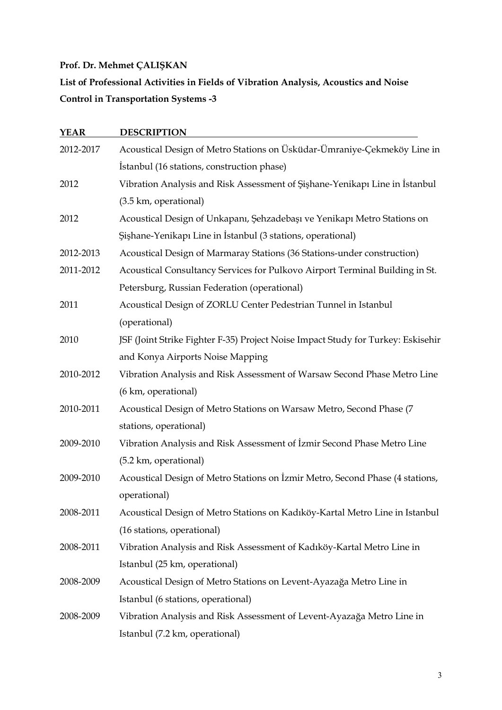$\hat{\boldsymbol{\gamma}}$ 

| <b>YEAR</b> | <b>DESCRIPTION</b>                                                               |
|-------------|----------------------------------------------------------------------------------|
| 2012-2017   | Acoustical Design of Metro Stations on Üsküdar-Ümraniye-Çekmeköy Line in         |
|             | Istanbul (16 stations, construction phase)                                       |
| 2012        | Vibration Analysis and Risk Assessment of Şişhane-Yenikapı Line in İstanbul      |
|             | (3.5 km, operational)                                                            |
| 2012        | Acoustical Design of Unkapanı, Şehzadebaşı ve Yenikapı Metro Stations on         |
|             | Şişhane-Yenikapı Line in İstanbul (3 stations, operational)                      |
| 2012-2013   | Acoustical Design of Marmaray Stations (36 Stations-under construction)          |
| 2011-2012   | Acoustical Consultancy Services for Pulkovo Airport Terminal Building in St.     |
|             | Petersburg, Russian Federation (operational)                                     |
| 2011        | Acoustical Design of ZORLU Center Pedestrian Tunnel in Istanbul                  |
|             | (operational)                                                                    |
| 2010        | JSF (Joint Strike Fighter F-35) Project Noise Impact Study for Turkey: Eskisehir |
|             | and Konya Airports Noise Mapping                                                 |
| 2010-2012   | Vibration Analysis and Risk Assessment of Warsaw Second Phase Metro Line         |
|             | (6 km, operational)                                                              |
| 2010-2011   | Acoustical Design of Metro Stations on Warsaw Metro, Second Phase (7             |
|             | stations, operational)                                                           |
| 2009-2010   | Vibration Analysis and Risk Assessment of İzmir Second Phase Metro Line          |
|             | (5.2 km, operational)                                                            |
| 2009-2010   | Acoustical Design of Metro Stations on Izmir Metro, Second Phase (4 stations,    |
|             | operational)                                                                     |
| 2008-2011   | Acoustical Design of Metro Stations on Kadıköy-Kartal Metro Line in Istanbul     |
|             | (16 stations, operational)                                                       |
| 2008-2011   | Vibration Analysis and Risk Assessment of Kadıköy-Kartal Metro Line in           |
|             | Istanbul (25 km, operational)                                                    |
| 2008-2009   | Acoustical Design of Metro Stations on Levent-Ayazağa Metro Line in              |
|             | Istanbul (6 stations, operational)                                               |
| 2008-2009   | Vibration Analysis and Risk Assessment of Levent-Ayazağa Metro Line in           |
|             | Istanbul (7.2 km, operational)                                                   |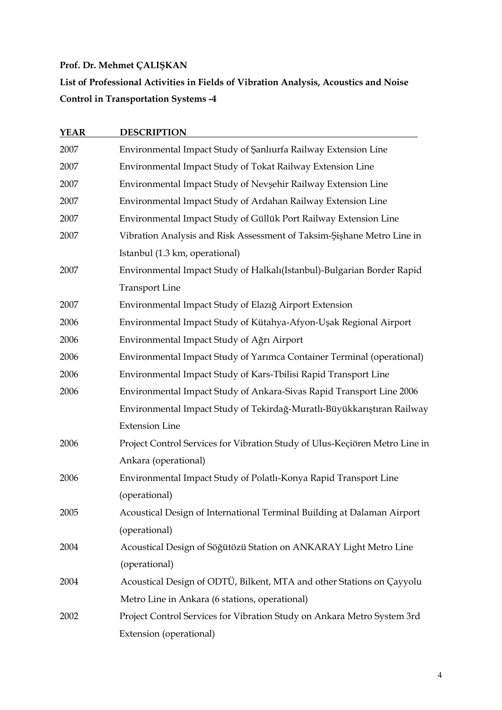$\bar{z}$ 

| <b>YEAR</b> | <b>DESCRIPTION</b>                                                          |
|-------------|-----------------------------------------------------------------------------|
| 2007        | Environmental Impact Study of Şanlıurfa Railway Extension Line              |
| 2007        | Environmental Impact Study of Tokat Railway Extension Line                  |
| 2007        | Environmental Impact Study of Nevşehir Railway Extension Line               |
| 2007        | Environmental Impact Study of Ardahan Railway Extension Line                |
| 2007        | Environmental Impact Study of Güllük Port Railway Extension Line            |
| 2007        | Vibration Analysis and Risk Assessment of Taksim-Şişhane Metro Line in      |
|             | Istanbul (1.3 km, operational)                                              |
| 2007        | Environmental Impact Study of Halkalı(Istanbul)-Bulgarian Border Rapid      |
|             | <b>Transport Line</b>                                                       |
| 2007        | Environmental Impact Study of Elazığ Airport Extension                      |
| 2006        | Environmental Impact Study of Kütahya-Afyon-Uşak Regional Airport           |
| 2006        | Environmental Impact Study of Ağrı Airport                                  |
| 2006        | Environmental Impact Study of Yarımca Container Terminal (operational)      |
| 2006        | Environmental Impact Study of Kars-Tbilisi Rapid Transport Line             |
| 2006        | Environmental Impact Study of Ankara-Sivas Rapid Transport Line 2006        |
|             | Environmental Impact Study of Tekirdağ-Muratlı-Büyükkarıştıran Railway      |
|             | <b>Extension Line</b>                                                       |
| 2006        | Project Control Services for Vibration Study of Ulus-Keçiören Metro Line in |
|             | Ankara (operational)                                                        |
| 2006        | Environmental Impact Study of Polatlı-Konya Rapid Transport Line            |
|             | (operational)                                                               |
| 2005        | Acoustical Design of International Terminal Building at Dalaman Airport     |
|             | (operational)                                                               |
| 2004        | Acoustical Design of Söğütözü Station on ANKARAY Light Metro Line           |
|             | (operational)                                                               |
| 2004        | Acoustical Design of ODTÜ, Bilkent, MTA and other Stations on Çayyolu       |
|             | Metro Line in Ankara (6 stations, operational)                              |
| 2002        | Project Control Services for Vibration Study on Ankara Metro System 3rd     |
|             | Extension (operational)                                                     |